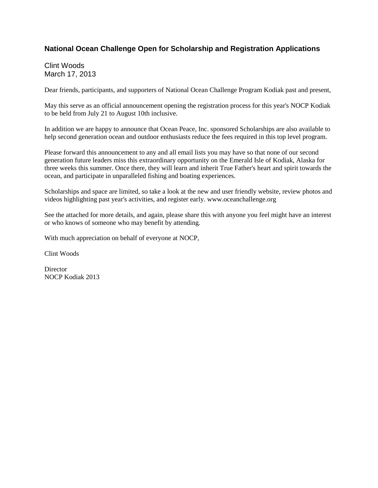## **National Ocean Challenge Open for Scholarship and Registration Applications**

Clint Woods March 17, 2013

Dear friends, participants, and supporters of National Ocean Challenge Program Kodiak past and present,

May this serve as an official announcement opening the registration process for this year's NOCP Kodiak to be held from July 21 to August 10th inclusive.

In addition we are happy to announce that Ocean Peace, Inc. sponsored Scholarships are also available to help second generation ocean and outdoor enthusiasts reduce the fees required in this top level program.

Please forward this announcement to any and all email lists you may have so that none of our second generation future leaders miss this extraordinary opportunity on the Emerald Isle of Kodiak, Alaska for three weeks this summer. Once there, they will learn and inherit True Father's heart and spirit towards the ocean, and participate in unparalleled fishing and boating experiences.

Scholarships and space are limited, so take a look at the new and user friendly website, review photos and videos highlighting past year's activities, and register early. www.oceanchallenge.org

See the attached for more details, and again, please share this with anyone you feel might have an interest or who knows of someone who may benefit by attending.

With much appreciation on behalf of everyone at NOCP,

Clint Woods

**Director** NOCP Kodiak 2013